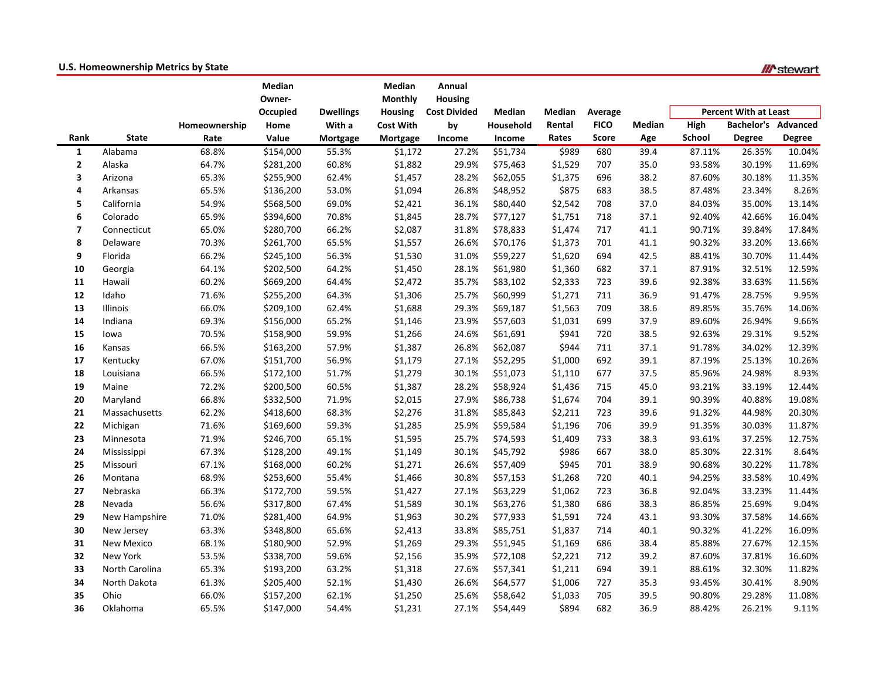|                         | $\ldots$ . The measure is the twice the stage |               |           |                  |                  |                     |           |         |              |        |                              |                   | <i>III</i> slewar |
|-------------------------|-----------------------------------------------|---------------|-----------|------------------|------------------|---------------------|-----------|---------|--------------|--------|------------------------------|-------------------|-------------------|
|                         |                                               |               | Median    |                  | Median           | Annual              |           |         |              |        |                              |                   |                   |
|                         |                                               |               | Owner-    |                  | <b>Monthly</b>   | <b>Housing</b>      |           |         |              |        |                              |                   |                   |
|                         |                                               |               | Occupied  | <b>Dwellings</b> | <b>Housing</b>   | <b>Cost Divided</b> | Median    | Median  | Average      |        | <b>Percent With at Least</b> |                   |                   |
|                         |                                               | Homeownership | Home      | With a           | <b>Cost With</b> | by                  | Household | Rental  | <b>FICO</b>  | Median | High                         | <b>Bachelor's</b> | Advanced          |
| Rank                    | <b>State</b>                                  | Rate          | Value     | Mortgage         | Mortgage         | Income              | Income    | Rates   | <b>Score</b> | Age    | School                       | <b>Degree</b>     | Degree            |
| $\mathbf{1}$            | Alabama                                       | 68.8%         | \$154,000 | 55.3%            | \$1,172          | 27.2%               | \$51,734  | \$989   | 680          | 39.4   | 87.11%                       | 26.35%            | 10.04%            |
| $\mathbf{2}$            | Alaska                                        | 64.7%         | \$281,200 | 60.8%            | \$1,882          | 29.9%               | \$75,463  | \$1,529 | 707          | 35.0   | 93.58%                       | 30.19%            | 11.69%            |
| 3                       | Arizona                                       | 65.3%         | \$255,900 | 62.4%            | \$1,457          | 28.2%               | \$62,055  | \$1,375 | 696          | 38.2   | 87.60%                       | 30.18%            | 11.35%            |
| 4                       | Arkansas                                      | 65.5%         | \$136,200 | 53.0%            | \$1,094          | 26.8%               | \$48,952  | \$875   | 683          | 38.5   | 87.48%                       | 23.34%            | 8.26%             |
| 5                       | California                                    | 54.9%         | \$568,500 | 69.0%            | \$2,421          | 36.1%               | \$80,440  | \$2,542 | 708          | 37.0   | 84.03%                       | 35.00%            | 13.14%            |
| 6                       | Colorado                                      | 65.9%         | \$394,600 | 70.8%            | \$1,845          | 28.7%               | \$77,127  | \$1,751 | 718          | 37.1   | 92.40%                       | 42.66%            | 16.04%            |
| $\overline{\mathbf{z}}$ | Connecticut                                   | 65.0%         | \$280,700 | 66.2%            | \$2,087          | 31.8%               | \$78,833  | \$1,474 | 717          | 41.1   | 90.71%                       | 39.84%            | 17.84%            |
| 8                       | Delaware                                      | 70.3%         | \$261,700 | 65.5%            | \$1,557          | 26.6%               | \$70,176  | \$1,373 | 701          | 41.1   | 90.32%                       | 33.20%            | 13.66%            |
| 9                       | Florida                                       | 66.2%         | \$245,100 | 56.3%            | \$1,530          | 31.0%               | \$59,227  | \$1,620 | 694          | 42.5   | 88.41%                       | 30.70%            | 11.44%            |
| 10                      | Georgia                                       | 64.1%         | \$202,500 | 64.2%            | \$1,450          | 28.1%               | \$61,980  | \$1,360 | 682          | 37.1   | 87.91%                       | 32.51%            | 12.59%            |
| 11                      | Hawaii                                        | 60.2%         | \$669,200 | 64.4%            | \$2,472          | 35.7%               | \$83,102  | \$2,333 | 723          | 39.6   | 92.38%                       | 33.63%            | 11.56%            |
| 12                      | Idaho                                         | 71.6%         | \$255,200 | 64.3%            | \$1,306          | 25.7%               | \$60,999  | \$1,271 | 711          | 36.9   | 91.47%                       | 28.75%            | 9.95%             |
| 13                      | Illinois                                      | 66.0%         | \$209,100 | 62.4%            | \$1,688          | 29.3%               | \$69,187  | \$1,563 | 709          | 38.6   | 89.85%                       | 35.76%            | 14.06%            |
| 14                      | Indiana                                       | 69.3%         | \$156,000 | 65.2%            | \$1,146          | 23.9%               | \$57,603  | \$1,031 | 699          | 37.9   | 89.60%                       | 26.94%            | 9.66%             |
| 15                      | lowa                                          | 70.5%         | \$158,900 | 59.9%            | \$1,266          | 24.6%               | \$61,691  | \$941   | 720          | 38.5   | 92.63%                       | 29.31%            | 9.52%             |
| 16                      | Kansas                                        | 66.5%         | \$163,200 | 57.9%            | \$1,387          | 26.8%               | \$62,087  | \$944   | 711          | 37.1   | 91.78%                       | 34.02%            | 12.39%            |
| 17                      | Kentucky                                      | 67.0%         | \$151,700 | 56.9%            | \$1,179          | 27.1%               | \$52,295  | \$1,000 | 692          | 39.1   | 87.19%                       | 25.13%            | 10.26%            |
| 18                      | Louisiana                                     | 66.5%         | \$172,100 | 51.7%            | \$1,279          | 30.1%               | \$51,073  | \$1,110 | 677          | 37.5   | 85.96%                       | 24.98%            | 8.93%             |
| 19                      | Maine                                         | 72.2%         | \$200,500 | 60.5%            | \$1,387          | 28.2%               | \$58,924  | \$1,436 | 715          | 45.0   | 93.21%                       | 33.19%            | 12.44%            |
| 20                      | Maryland                                      | 66.8%         | \$332,500 | 71.9%            | \$2,015          | 27.9%               | \$86,738  | \$1,674 | 704          | 39.1   | 90.39%                       | 40.88%            | 19.08%            |
| 21                      | Massachusetts                                 | 62.2%         | \$418,600 | 68.3%            | \$2,276          | 31.8%               | \$85,843  | \$2,211 | 723          | 39.6   | 91.32%                       | 44.98%            | 20.30%            |
| 22                      | Michigan                                      | 71.6%         | \$169,600 | 59.3%            | \$1,285          | 25.9%               | \$59,584  | \$1,196 | 706          | 39.9   | 91.35%                       | 30.03%            | 11.87%            |
| 23                      | Minnesota                                     | 71.9%         | \$246,700 | 65.1%            | \$1,595          | 25.7%               | \$74,593  | \$1,409 | 733          | 38.3   | 93.61%                       | 37.25%            | 12.75%            |
| 24                      | Mississippi                                   | 67.3%         | \$128,200 | 49.1%            | \$1,149          | 30.1%               | \$45,792  | \$986   | 667          | 38.0   | 85.30%                       | 22.31%            | 8.64%             |
| 25                      | Missouri                                      | 67.1%         | \$168,000 | 60.2%            | \$1,271          | 26.6%               | \$57,409  | \$945   | 701          | 38.9   | 90.68%                       | 30.22%            | 11.78%            |
| 26                      | Montana                                       | 68.9%         | \$253,600 | 55.4%            | \$1,466          | 30.8%               | \$57,153  | \$1,268 | 720          | 40.1   | 94.25%                       | 33.58%            | 10.49%            |
| 27                      | Nebraska                                      | 66.3%         | \$172,700 | 59.5%            | \$1,427          | 27.1%               | \$63,229  | \$1,062 | 723          | 36.8   | 92.04%                       | 33.23%            | 11.44%            |
| 28                      | Nevada                                        | 56.6%         | \$317,800 | 67.4%            | \$1,589          | 30.1%               | \$63,276  | \$1,380 | 686          | 38.3   | 86.85%                       | 25.69%            | 9.04%             |
| 29                      | New Hampshire                                 | 71.0%         | \$281,400 | 64.9%            | \$1,963          | 30.2%               | \$77,933  | \$1,591 | 724          | 43.1   | 93.30%                       | 37.58%            | 14.66%            |
| 30                      | New Jersey                                    | 63.3%         | \$348,800 | 65.6%            | \$2,413          | 33.8%               | \$85,751  | \$1,837 | 714          | 40.1   | 90.32%                       | 41.22%            | 16.09%            |
| 31                      | <b>New Mexico</b>                             | 68.1%         | \$180,900 | 52.9%            | \$1,269          | 29.3%               | \$51,945  | \$1,169 | 686          | 38.4   | 85.88%                       | 27.67%            | 12.15%            |
| 32                      | New York                                      | 53.5%         | \$338,700 | 59.6%            | \$2,156          | 35.9%               | \$72,108  | \$2,221 | 712          | 39.2   | 87.60%                       | 37.81%            | 16.60%            |
| 33                      | North Carolina                                | 65.3%         | \$193,200 | 63.2%            | \$1,318          | 27.6%               | \$57,341  | \$1,211 | 694          | 39.1   | 88.61%                       | 32.30%            | 11.82%            |
| 34                      | North Dakota                                  | 61.3%         | \$205,400 | 52.1%            | \$1,430          | 26.6%               | \$64,577  | \$1,006 | 727          | 35.3   | 93.45%                       | 30.41%            | 8.90%             |
| 35                      | Ohio                                          | 66.0%         | \$157,200 | 62.1%            | \$1,250          | 25.6%               | \$58,642  | \$1,033 | 705          | 39.5   | 90.80%                       | 29.28%            | 11.08%            |
| 36                      | Oklahoma                                      | 65.5%         | \$147,000 | 54.4%            | \$1,231          | 27.1%               | \$54,449  | \$894   | 682          | 36.9   | 88.42%                       | 26.21%            | 9.11%             |

## U.S. Homeownership Metrics by State

 $\mu$ <sub>n</sub>